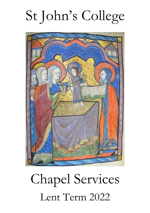# St John's College



# Chapel Services Lent Term 2022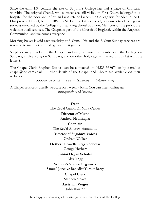Since the early  $13<sup>th</sup>$  century the site of St John's College has had a place of Christian worship. The original Chapel, whose traces are still visible in First Court, belonged to a hospital for the poor and infirm and was retained when the College was founded in 1511. Our present Chapel, built in 1869 by Sir George Gilbert Scott, continues to offer regular services enriched by the College's outstanding choral tradition. Members of the public are welcome at all services. The Chapel is part of the Church of England, within the Anglican Communion, and welcomes everyone.

Morning Prayer is said each weekday at 8.30am. This and the 8.30am Sunday services are reserved to members of College and their guests.

Surplices are provided in the Chapel, and may be worn by members of the College on Sundays, at Evensong on Saturdays, and on other holy days as marked in this list with the letter **S**.

The Chapel Clerk, Stephen Stokes, can be contacted on 01223 338676 or by e-mail at  $chapel@joh.cam.ac.uk$  Further details of the Chapel and Choirs are available on their websites:

*www.joh.cam.ac.uk www.sjcchoir.co.uk stjohnsvoices.org*

A Chapel service is usually webcast on a weekly basis. You can listen online at: *[www.sjcchoir.co.uk/webcast](http://www.sjcchoir.co.uk/webcast)*

### **Dean** The Rev'd Canon Dr Mark Oakley **Director of Music** Andrew Nethsingha **Chaplain** The Rev'd Andrew Hammond **Director of St John's Voices** Graham Walker **Herbert Howells Organ Scholar** George Herbert **Junior Organ Scholar** Alex Trigg **St John's Voices Organists** Samuel Jones & Benedict Turner-Berry **Chapel Clerk** Stephen Stokes **Assistant Verger** John Boulter

The clergy are always glad to arrange to see members of the College.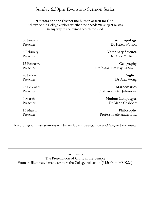## Sunday 6.30pm Evensong Sermon Series

#### **'Doctors and the Divine: the human search for God'**

Fellows of the College explore whether their academic subject relates in any way to the human search for God

| 30 January  | Anthropology                |
|-------------|-----------------------------|
| Preacher:   | Dr Helen Watson             |
| 6 February  | <b>Veterinary Science</b>   |
| Preacher:   | Dr David Williams           |
| 13 February | Geography                   |
| Preacher:   | Professor Tim Bayliss-Smith |
| 20 February | English                     |
| Preacher:   | Dr Alex Wong                |
| 27 February | <b>Mathematics</b>          |
| Preacher:   | Professor Peter Johnstone   |
| 6 March     | <b>Modern Languages</b>     |
| Preacher:   | Dr Marie Chabbert           |
| 13 March    | Philosophy                  |
| Preacher:   | Professor Alexander Bird    |

Recordings of these sermons will be available at *www.joh.cam.ac.uk/chapel-choir/sermons*

Cover image: The Presentation of Christ in the Temple From an illuminated manuscript in the College collection (f.15r from MS K.26)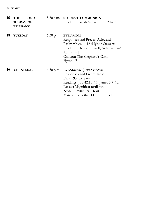| 16 | THE SECOND<br><b>SUNDAY OF</b><br><b>EPIPHANY</b> | 8.30 a.m.   | <b>STUDENT COMMUNION</b><br>Readings: Isaiah 62.1–5, John 2.1–11                                                                                                                                                                   |
|----|---------------------------------------------------|-------------|------------------------------------------------------------------------------------------------------------------------------------------------------------------------------------------------------------------------------------|
| 18 | <b>TUESDAY</b>                                    | $6.30$ p.m. | <b>EVENSONG</b><br>Responses and Preces: Ayleward<br>Psalm 90 vv. 1-12 (Hylton Stewart)<br>Readings: Hosea 2.13-20, Acts 14.21-28<br>Murrill in E<br>Chilcott: The Shepherd's Carol<br>Hymn 47                                     |
| 19 | WEDNESDAY                                         | $6.30$ p.m. | <b>EVENSONG</b> (lower voices)<br>Responses and Preces: Rose<br>Psalm 95 (tone iii)<br>Readings: Job 42.10–17, James 5.7–12<br>Lassus: Magnificat tertii toni<br>Nunc Dimittis tertii toni<br>Mateo Flecha the elder: Riu riu chiu |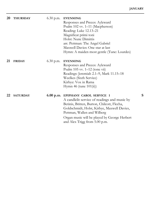| 20 | <b>THURSDAY</b> | $6.30$ p.m. | <b>EVENSONG</b><br>Responses and Preces: Ayleward<br>Psalm 102 vv. 1-11 (Macpherson)<br>Reading: Luke 12.13-21<br>Magnificat primi toni<br>Holst: Nunc Dimittis<br>arr. Pettman: The Angel Gabriel<br>Maxwell Davies: One star at last<br>Hymn: A maiden most gentle (Tune: Lourdes)             |   |
|----|-----------------|-------------|--------------------------------------------------------------------------------------------------------------------------------------------------------------------------------------------------------------------------------------------------------------------------------------------------|---|
| 21 | <b>FRIDAY</b>   | $6.30$ p.m. | <b>EVENSONG</b><br>Responses and Preces: Ayleward<br>Psalm $105$ vv. $1-12$ (tone vii)<br>Readings: Jeremiah 2.1-9, Mark 11.15-18<br>Weelkes (Sixth Service)<br>Kirbye: Vox in Rama<br>Hymn 46 (tune $101(ii)$ )                                                                                 |   |
| 22 | <b>SATURDAY</b> |             | 6.00 p.m. EPIPHANY CAROL SERVICE I<br>A candlelit service of readings and music by<br>Betinis, Britten, Burton, Chilcott, Flecha,<br>Goldschmidt, Holst, Kirbye, Maxwell Davies,<br>Pettman, Wallen and Wilberg<br>Organ music will be played by George Herbert<br>and Alex Trigg from 5.00 p.m. | s |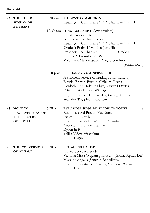| 23 | THE THIRD<br><b>SUNDAY OF</b><br><b>EPIPHANY</b>                   | $8.30$ a.m. | STUDENT COMMUNION<br>Readings: 1 Corinthians 12.12-31a, Luke 4.14-21                                                                                                                                                                                                                                                        | S |
|----|--------------------------------------------------------------------|-------------|-----------------------------------------------------------------------------------------------------------------------------------------------------------------------------------------------------------------------------------------------------------------------------------------------------------------------------|---|
|    |                                                                    |             | 10.30 a.m. SUNG EUCHARIST (lower voices)<br>Introit: Adorate Deum<br>Byrd: Mass for three voices<br>Readings: 1 Corinthians 12.12-31a, Luke 4.14-21<br>Gradual: Psalm 19 vv. 1-6 (tone iii)<br>Credo II<br>Preacher: The Chaplain<br>Hymns 271 (omit v. 2), 36<br>Voluntary: Mendelssohn Allegro con brio<br>(Sonata no. 4) |   |
|    |                                                                    |             | 6.00 p.m. EPIPHANY CAROL SERVICE II<br>A candlelit service of readings and music by<br>Betinis, Britten, Burton, Chilcott, Flecha,<br>Goldschmidt, Holst, Kirbye, Maxwell Davies,<br>Pettman, Wallen and Wilberg.<br>Organ music will be played by George Herbert<br>and Alex Trigg from 5.00 p.m.                          |   |
| 24 | <b>MONDAY</b><br>FIRST EVENSONG OF<br>THE CONVERSION<br>OF ST PAUL | 6.30 p.m.   | EVENSONG SUNG BY ST JOHN'S VOICES<br>Responses and Preces: MacDonald<br>Psalm 116 (Lloyd)<br>Readings: Isaiah 12.1-6, John 7.37-44<br>Antiphon: In omnem terram<br>Dyson in F<br>Tallis: Videte miraculum<br>Hymn 154(ii)                                                                                                   | S |
| 25 | THE CONVERSION<br>OF ST PAUL                                       | $6.30$ p.m. | FESTAL EUCHARIST<br>Introit: Scio cui credidi<br>Victoria: Missa O quam gloriosum (Gloria, Agnus Dei)<br>Missa de Angelis (Sanctus, Benedictus)<br>Readings: Galatians 1.11–16a, Matthew 19.27–end<br>Hymn 155                                                                                                              | S |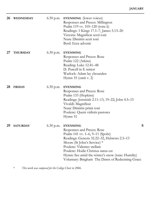| 26 | <b>WEDNESDAY</b> | $6.30$ p.m. | <b>EVENSONG</b> (lower voices)<br>Responses and Preces: Millington<br>Psalm 119 vv. 105-120 (tone ii)<br>Readings: 1 Kings 17.1–7, James 5.13–20<br>Victoria: Magnificat sexti toni<br>Nunc Dimittis sexti toni<br>Byrd: Ecce advenit                                                                                                 |   |
|----|------------------|-------------|---------------------------------------------------------------------------------------------------------------------------------------------------------------------------------------------------------------------------------------------------------------------------------------------------------------------------------------|---|
| 27 | <b>THURSDAY</b>  | $6.30$ p.m. | <b>EVENSONG</b><br>Responses and Preces: Rose<br>Psalm 122 (Atkins)<br>Reading: Luke 12.41-48<br>D. Purcell in E minor<br>Warlock: Adam lay ybounden<br>Hymn $55$ (omit v. 2)                                                                                                                                                         |   |
| 28 | <b>FRIDAY</b>    | $6.30$ p.m. | <b>EVENSONG</b><br>Responses and Preces: Rose<br>Psalm 133 (Hopkins)<br>Readings: Jeremiah 2.11-13, 19-22; John 4.5-15<br>Vivaldi: Magnificat<br>Nunc Dimittis primi toni<br>Poulenc: Quem vidistis pastores<br>Hymn 51                                                                                                               |   |
| 29 | <b>SATURDAY</b>  | $6.30$ p.m. | <b>EVENSONG</b><br>Responses and Preces: Rose<br>Psalm 141 vv. 1-6, 9-11 (Spohr)<br>Readings: Genesis 32.22–32, Hebrews 2.5–13<br>Moore (St John's Service) *<br>Poulenc: Videntes stellam<br>Poulenc: Hodie Christus natus est<br>Hymn: See amid the winter's snow (tune: Humilty)<br>Voluntary: Bingham The Dawn of Redeeming Grace | S |

\* *This work was composed for the College Choir in 2006.*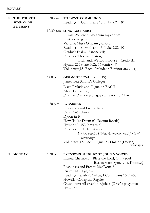| 30 | THE FOURTH<br><b>SUNDAY OF</b><br><b>EPIPHANY</b> | 8.30 a.m.   | STUDENT COMMUNION<br>Readings: 1 Corinthians 13, Luke 2.22-40                                                                                                                                                                                                                                                                                                         | S |
|----|---------------------------------------------------|-------------|-----------------------------------------------------------------------------------------------------------------------------------------------------------------------------------------------------------------------------------------------------------------------------------------------------------------------------------------------------------------------|---|
|    |                                                   |             | 10.30 a.m. SUNG EUCHARIST<br>Introit: Poulenc O magnum mysterium<br>Kyrie de Angelis<br>Victoria: Missa O quam gloriosum<br>Readings: 1 Corinthians 13, Luke 2.22-40<br>Gradual: Psalm 48 (tone viii)<br>Preacher: Thomas Ruston,<br>Ordinand, Westcott House Credo III<br>Hymns 273 (tune 302), 56 (omit v. 4)<br>Voluntary: J.S. Bach Prelude in B minor (BWV 544i) |   |
|    |                                                   |             | 6.00 p.m. ORGAN RECITAL (no. 1519)<br>James Tett (Christ's College)<br>Liszt: Prelude and Fugue on BACH<br>Alain: Fantasmagorie<br>Duruflé: Prelude et Fugue sur le nom d'Alain                                                                                                                                                                                       |   |
|    |                                                   | $6.30$ p.m. | <b>EVENSONG</b><br>Responses and Preces: Rose<br>Psalm 146 (Harris)<br>Dyson in F<br>Howells: Te Deum (Collegium Regale)<br>Hymns 40, 352 (omit v. 4)<br>Preacher: Dr Helen Watson<br>Doctors and the Divine: the human search for God-<br>Anthropology<br>Voluntary: J.S. Bach Fugue in D minor (Dorian)<br>(BWV 538ii)                                              |   |
| 31 | <b>MONDAY</b>                                     | $6.30$ p.m. | EVENSONG SUNG BY ST JOHN'S VOICES<br>Introit: Chesnokov Bless the Lord, O my soul<br>(Благослови, душе моя, Господа)<br>Responses and Preces: MacDonald<br>Psalm 144 (Higgins)<br>Readings: Isaiah 25.1–10a, 1 Corinthians 15.51–58<br>Howells (Collegium Regale)<br>Chesnokov: All creation rejoices (O тебе радуется)<br>Hymn 52                                    |   |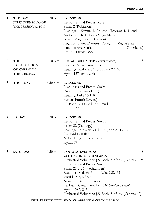| THE PRESENTATION                                         |             | Responses and Preces: Rose<br>Psalm 2 (Robinson)<br>Readings: 1 Samuel 1.19b-end, Hebrews 4.11-end<br>Antiphon: Hodie beata Virgo Maria<br>Bevan: Magnificat octavi toni<br>Leighton: Nunc Dimittis (Collegium Magdalenae<br>Parsons: Ave Maria<br>Oxoniense)<br>Hymn 44 (tune 282)                                                                                                                         |
|----------------------------------------------------------|-------------|-------------------------------------------------------------------------------------------------------------------------------------------------------------------------------------------------------------------------------------------------------------------------------------------------------------------------------------------------------------------------------------------------------------|
| THE<br><b>PRESENTATION</b><br>OF CHRIST IN<br>THE TEMPLE | 6.30 p.m.   | S<br>FESTAL EUCHARIST (lower voices)<br>Duruflé: Messe cum jubilo<br>Readings: Malachi 3.1-5, Luke 2.22-40<br>Hymn $157$ (omit v. 4)                                                                                                                                                                                                                                                                        |
| <b>THURSDAY</b>                                          | $6.30$ p.m. | <b>EVENSONG</b><br>Responses and Preces: Smith<br>Psalm 17 vv. 1-7 (Turle)<br>Reading: Luke 15.1-10<br>Batten (Fourth Service)<br>J.S. Bach: Mit Fried und Freud<br>Hymn 337                                                                                                                                                                                                                                |
| <b>FRIDAY</b>                                            | $6.30$ p.m. | <b>EVENSONG</b><br>Responses and Preces: Smith<br>Psalm 22 (Camidge)<br>Readings: Jeremiah 3.12b-18, John 21.15-19<br>Stanford in B flat<br>N. Boulanger: Lux aeterna<br>Hymn 57                                                                                                                                                                                                                            |
| <b>SATURDAY</b>                                          | 6.30 p.m.   | S<br><b>CANTATA EVENSONG</b><br>WITH ST JOHN'S SINFONIA<br>Orchestral Voluntary: J.S. Bach Sinfonia (Cantata 182)<br>Responses and Preces: Smith<br>Psalm 25 vv. 1–9 (Gauntlett)<br>Readings: Malachi 3.1-4, Luke 2.22-32<br>Vivaldi: Magnificat<br>Nunc Dimittis primi toni<br>J.S. Bach: Cantata no. 125 'Mit Fried und Freud'<br>Hymns 387, 245<br>Orchestral Voluntary: J.S. Bach Sinfonia (Cantata 42) |
|                                                          |             |                                                                                                                                                                                                                                                                                                                                                                                                             |

#### **THIS SERVICE WILL END AT APPROXIMATELY 7.45 P.M.**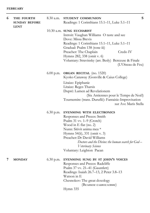| 6 | THE FOURTH                          | $8.30$ a.m. | S<br>STUDENT COMMUNION                                                                       |
|---|-------------------------------------|-------------|----------------------------------------------------------------------------------------------|
|   | <b>SUNDAY BEFORE</b><br><b>LENT</b> |             | Readings: 1 Corinthians 15.1-11, Luke 5.1-11                                                 |
|   |                                     |             | 10.30 a.m. SUNG EUCHARIST<br>Introit: Vaughan Williams O taste and see<br>Dove: Missa Brevis |
|   |                                     |             | Readings: 1 Corinthians 15.1-11, Luke 5.1-11<br>Gradual: Psalm 138 (tone iii)                |
|   |                                     |             | Credo IV<br>Preacher: The Chaplain<br>Hymns 282, 338 (omit v. 6)                             |
|   |                                     |             | Voluntary: Stravinsky (arr. Besly) Berceuse & Finale<br>(L'Oiseau de Feu)                    |
|   |                                     |             | 6.00 p.m. ORGAN RECITAL (no. 1520)<br>Kyoko Canaway (Gonville & Caius College)               |
|   |                                     |             | Litaize: Epiphanie<br>Litaize: Reges Tharsis                                                 |
|   |                                     |             | Dupré: Lumen ad Revelationem<br>(Six Antiennes pour le Temps de Noël)                        |
|   |                                     |             | Tournemire (trans. Duruflé): Fantaisie-Improvisation<br>sur Ave Maris Stella                 |
|   |                                     | $6.30$ p.m. | <b>EVENSONG WITH ELECTRONICS</b>                                                             |
|   |                                     |             | Responses and Preces: Smith<br>Psalm 31 vv. 1–9 (Crotch)                                     |
|   |                                     |             | Wood in E flat (no. 2)                                                                       |
|   |                                     |             | Nunn: Sitivit anima mea *                                                                    |
|   |                                     |             | Hymns 54(ii), 331 (omit v. 3)                                                                |
|   |                                     |             | Preacher: Dr David Williams                                                                  |
|   |                                     |             | Doctors and the Divine: the human search for God -<br>Veterinary Science                     |
|   |                                     |             | Voluntary: Leighton Paean                                                                    |
| 7 | <b>MONDAY</b>                       | $6.30$ p.m. | EVENSONG SUNG BY ST JOHN'S VOICES                                                            |
|   |                                     |             | Responses and Preces: Radcliffe                                                              |
|   |                                     |             | Psalm 37 vv. 21-41 (Gauntlett)<br>Readings: Isaiah 26.7–13, 2 Peter 3.8–13                   |
|   |                                     |             | Watson in E                                                                                  |
|   |                                     |             | Chesnokov: The great doxology                                                                |

(Великое славословие)

Hymn 335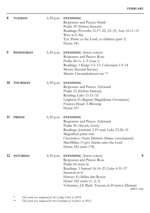| 8  | <b>TUESDAY</b>  | $6.30$ p.m. | <b>EVENSONG</b><br>Responses and Preces: Smith<br>Psalm 39 (Hylton Stewart)<br>Readings: Proverbs 31.17-22, 25-31; Acts 16.11-15<br>Wise in E flat<br>Tye: Praise ye the Lord, ye children (part 1)<br>Hymn 341                                                                           |
|----|-----------------|-------------|-------------------------------------------------------------------------------------------------------------------------------------------------------------------------------------------------------------------------------------------------------------------------------------------|
| 9  | WEDNESDAY       | $6.30$ p.m. | <b>EVENSONG</b> (lower voices)<br>Responses and Preces: Rose<br>Psalm 44 vv. $1-9$ (tone i)<br>Readings: 1 Kings 3.5–13, Colossians 1.9–14<br>Moore (Second Service)<br>Martin: Circumdederunt me **                                                                                      |
| 10 | <b>THURSDAY</b> | $6.30$ p.m. | <b>EVENSONG</b><br>Responses and Preces: Ayleward<br>Psalm 52 (Hylton Stewart)<br>Reading: Luke 15.11-32<br>Leighton (Collegium Magdalenae Oxoniense)<br>Frances-Hoad: A Blessing<br>Hymn 357                                                                                             |
| 11 | <b>FRIDAY</b>   | $6.30$ p.m. | <b>EVENSONG</b><br>Responses and Preces: Ayleward<br>Psalm 56 (Alcock, Goss)<br>Readings: Jeremiah 3.19-end, Luke 23.26-31<br>Magnificat primi toni<br>Chesnokov: Nunc Dimittis (Ныне отпущаеши)<br>MacMillan: O give thanks unto the Lord<br>Hymn 342 (tune 178)                         |
| 12 | <b>SATURDAY</b> | 6.30 p.m.   | ${\bf S}$<br><b>EVENSONG</b> (lower voices)<br>Responses and Preces: Rose<br>Psalm 64 (tone ii)<br>Readings: 1 Samuel 16.14–23, Luke 4.31–37<br>Sumsion in G<br>Harvey: Es blühn drei Rosen<br>Hymn 332 (omit vv. 2, 3)<br>Voluntary: J.S. Bach Toccata in D minor (Dorian)<br>(BWV 538i) |

\* *This work was composed for the College Choir in 2018.*

\*\* *This work was composed for the Gentlemen of St John's in 2012.*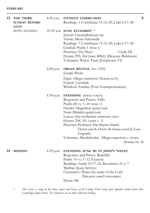| 13 | THE THIRD<br><b>SUNDAY BEFORE</b><br><b>LENT</b> | $8.30$ a.m. | S<br>STUDENT COMMUNION<br>Readings: 1 Corinthians 15.12-20, Luke 6.17-26                                                                                                                                                                                                                                                                                                                                                         |
|----|--------------------------------------------------|-------------|----------------------------------------------------------------------------------------------------------------------------------------------------------------------------------------------------------------------------------------------------------------------------------------------------------------------------------------------------------------------------------------------------------------------------------|
|    | <b>SEPTUAGESIMA</b>                              |             | 10.30 a.m. SUNG EUCHARIST $*$<br>Introit: Circumdederunt me<br>Vierne: Messe Solennelle<br>Readings: 1 Corinthians 15.12-20, Luke 6.17-26<br>Gradual: Psalm 1 (tone i)<br>Preacher: The Dean<br>Credo III<br>Hymns 295, 364 (tune 408(i)) (Descant: Robinson)<br>Voluntary: Widor Final (Symphonie VI)                                                                                                                           |
|    |                                                  |             | $6.00$ p.m. ORGAN RECITAL (no. 1521)<br>Joseph Wicks                                                                                                                                                                                                                                                                                                                                                                             |
|    |                                                  |             | Elgar: Allegro maestoso (Sonata in G)<br>Franck: Cantabile<br>Whitlock: Fanfare (Four Extemporisations)                                                                                                                                                                                                                                                                                                                          |
|    |                                                  |             | 6.30 p.m. <b>EVENSONG</b> (lower voices)<br>Responses and Preces: Tallis<br>Psalm $68$ vv. $1-10$ (tone v)<br>Hassler: Magnificat quinti toni<br>Nunc Dimittis quinti toni<br>Lassus: Qui moderatur sermones suos<br>Hymns 244, 351 (omit v. 3)<br>Preacher: Professor Tim Bayliss-Smith<br>Doctors and the Divine: the human search for God-<br>Geography<br>Voluntary: Mendelssohn Allegro maestoso e vivace<br>(Sonata no. 4) |
| 14 | <b>MONDAY</b>                                    |             | 6.30 p.m. EVENSONG SUNG BY ST JOHN'S VOICES<br>Responses and Preces: Radcliffe                                                                                                                                                                                                                                                                                                                                                   |

Responses and Preces: Radcliffe Psalm 74 vv. 1–12 (Garrett) Readings: Isaiah 33.17–22, Revelation 21.1–7 Mathias (Jesus Service) Chesnokov: Praise the name of the Lord (Хвалите имя Господине) Hymn 346

\* *This service is sung by the altos, tenors and basses of the College Choir along with sopranos drawn from other Cambridge chapel choirs. The choristers are on their half-term holiday.*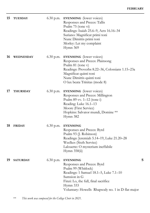| 15 | <b>TUESDAY</b>  | $6.30$ p.m. | <b>EVENSONG</b> (lower voices)<br>Responses and Preces: Tallis<br>Psalm 75 (tone vi)<br>Readings: Isaiah 25.6–9, Acts 16.16–34<br>Suriano: Magnificat primi toni<br>Nunc Dimittis primi toni<br>Morley: Let my complaint<br>Hymn 369    |   |
|----|-----------------|-------------|-----------------------------------------------------------------------------------------------------------------------------------------------------------------------------------------------------------------------------------------|---|
| 16 | WEDNESDAY       | $6.30$ p.m. | <b>EVENSONG</b> (lower voices)<br>Responses and Preces: Plainsong<br>Psalm 81 (tone v)<br>Readings: Proverbs 8.22-36, Colossians 1.15-23a<br>Magnificat quinti toni<br>Nunc Dimittis quinti toni<br>O lux beata Trinitas (mode 8)       |   |
| 17 | <b>THURSDAY</b> | $6.30$ p.m. | <b>EVENSONG</b> (lower voices)<br>Responses and Preces: Millington<br>Psalm $89$ vv. $1-12$ (tone i)<br>Reading: Luke 16.1–13<br>Moore (First Service)<br>Hopkins: Salvator mundi, Domine **<br>Hymn 382                                |   |
| 18 | <b>FRIDAY</b>   | $6.30$ p.m. | <b>EVENSONG</b><br>Responses and Preces: Byrd<br>Psalm 93 (J. Robinson)<br>Readings: Jeremiah 5.14–19, Luke 21.20–28<br>Weelkes (Sixth Service)<br>Lalouette: O mysterium ineffabile<br>Hymn 358(ii)                                    |   |
| 19 | <b>SATURDAY</b> | $6.30$ p.m. | <b>EVENSONG</b><br>Responses and Preces: Byrd<br>Psalm 99 (Whitlock)<br>Readings: 1 Samuel 18.1–5, Luke 7.1–10<br>Sumsion in G<br>Finzi: Lo, the full, final sacrifice<br>Hymn 333<br>Voluntary: Howells Rhapsody no. 1 in D flat major | S |

\*\* *This work was composed for the College Choir in 2021.*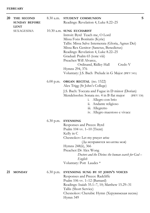| 20 | THE SECOND<br><b>SUNDAY BEFORE</b><br><b>LENT</b> | 8.30 a.m.   | S<br>STUDENT COMMUNION<br>Readings: Revelation 4, Luke 8.22–25                                                                                                                                                                                                                                                                                                                                               |
|----|---------------------------------------------------|-------------|--------------------------------------------------------------------------------------------------------------------------------------------------------------------------------------------------------------------------------------------------------------------------------------------------------------------------------------------------------------------------------------------------------------|
|    | SEXAGESIMA                                        |             | 10.30 a.m. SUNG EUCHARIST<br>Introit: Byrd Teach me, O Lord<br>Missa Fons Bonitatis (Kyrie)<br>Tallis: Missa Salve Intemerata (Gloria, Agnus Dei)<br>Missa Rex Genitor (Sanctus, Benedictus)<br>Readings: Revelation 4, Luke 8.22-25<br>Gradual: Psalm 65 (tone viii)<br>Preacher: Will Alvarez,<br>Ordinand, Ridley Hall<br>Credo V<br>Hymns 294, 376<br>Voluntary: J.S. Bach Prelude in G Major (BWV 541i) |
|    |                                                   |             | $6.00$ p.m. ORGAN RECITAL (no. 1522)<br>Alex Trigg (St John's College)<br>J.S. Bach: Toccata and Fugue in D minor (Dorian)<br>Mendelssohn: Sonata no. 4 in B flat major<br>(BWV 538)<br>Allegro con brio<br>1.<br>ii. Andante religioso<br>iii. Allegretto<br>iv. Allegro maestoso e vivace                                                                                                                  |
|    |                                                   | 6.30 p.m.   | <b>EVENSONG</b><br>Responses and Preces: Byrd<br>Psalm $104$ vv. $1-10$ (Trent)<br>Kelly in C<br>Chesnokov: Let my prayer arise<br>(Да исправится молитва моя)<br>Hymns 248(ii), 366<br>Preacher: Dr Alex Wong<br>Doctors and the Divine: the human search for God -<br>English<br>Voluntary: Pott Laudes *                                                                                                  |
| 21 | <b>MONDAY</b>                                     | $6.30$ p.m. | EVENSONG SUNG BY ST JOHN'S VOICES<br>Responses and Preces: Radcliffe<br>Psalm $106$ vv. $1-12$ (Barnard)<br>Readings: Isaiah 35.1–7, 10; Matthew 15.29–31<br>Tallis (Short Service)<br>Chesnokov: Cherubic Hymn (Херувимская песнь)<br>Hymn 349                                                                                                                                                              |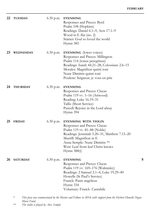| 22 | <b>TUESDAY</b>   | $6.30$ p.m. | <b>EVENSONG</b><br>Responses and Preces: Byrd<br>Psalm 108 (Hopkins)<br>Readings: Daniel 6.1–9, Acts 17.1–9<br>Wood in E flat (no. 2)<br>Stainer: God so loved the world<br>Hymn 385                                                                     |   |
|----|------------------|-------------|----------------------------------------------------------------------------------------------------------------------------------------------------------------------------------------------------------------------------------------------------------|---|
| 23 | <b>WEDNESDAY</b> | $6.30$ p.m. | <b>EVENSONG</b> (lower voices)<br>Responses and Preces: Millington<br>Psalm 114 (tonus peregrinus)<br>Readings: Isaiah 44.21–28, Colossians 2.6–15<br>Morales: Magnificat quinti toni<br>Nunc Dimittis quinti toni<br>Poulenc: Seigneur, je vous en prie |   |
| 24 | <b>THURSDAY</b>  | 6.30 p.m.   | <b>EVENSONG</b><br>Responses and Preces: Clucas<br>Psalm $119$ vv. $1-16$ (Attwood)<br>Reading: Luke 16.19-31<br>Tallis (Short Service)<br>Purcell: Rejoice in the Lord alway<br>Hymn 394                                                                |   |
| 25 | <b>FRIDAY</b>    | $6.30$ p.m. | EVENSONG WITH VIOLIN<br>Responses and Preces: Clucas<br>Psalm 119 vv. 81–88 (Noble)<br>Readings: Jeremiah 5.20–31, Matthew 7.15–20<br>Murrill: Magnificat in E<br>Anna Semple: Nunc Dimittis **<br>Weir: Leaf from leaf Christ knows<br>Hymn 388(i)      |   |
| 26 | <b>SATURDAY</b>  | $6.30$ p.m. | <b>EVENSONG</b><br>Responses and Preces: Clucas<br>Psalm 119 vv. 169–176 (Walmisley)<br>Readings: 2 Samuel 2.1-4, Luke 19.29-40<br>Howells (St Paul's Service)<br>Franck: Panis angelicus<br>Hymn 334<br>Voluntary: Franck Cantabile                     | S |

\* *This piece was commissioned by the Master and Fellows in 2014, with support from the Herbert Howells Organ Music Fund.*

\*\* *The violin is played by Alex Semple.*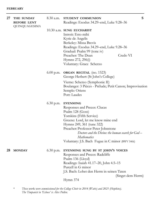| 27 | THE SUNDAY<br><b>BEFORE LENT</b><br>QUINQUAGESIMA |             | S<br>8.30 a.m. STUDENT COMMUNION<br>Readings: Exodus 34.29–end, Luke 9.28–36                                                                                                                                                                                                                                                       |  |
|----|---------------------------------------------------|-------------|------------------------------------------------------------------------------------------------------------------------------------------------------------------------------------------------------------------------------------------------------------------------------------------------------------------------------------|--|
|    |                                                   |             | $10.30$ a.m. SUNG EUCHARIST<br>Introit: Esto mihi<br>Kyrie de Angelis<br>Berkeley: Missa Brevis<br>Readings: Exodus 34.29-end, Luke 9.28-36<br>Gradual: Psalm 99 (tone iv)<br>Preacher: The Dean<br>Credo VI<br>Hymns 272, 296(i)<br>Voluntary: Grace Scherzo                                                                      |  |
|    |                                                   | $6.00$ p.m. | <b>ORGAN RECITAL</b> (no. 1523)<br>George Herbert (St John's College)<br>Vierne: Scherzo (Symphonie II)<br>Boulanger: 3 Pièces - Prélude; Petit Canon; Improvisation<br>Semple: Oriens<br>Pott: Laudes                                                                                                                             |  |
|    |                                                   | $6.30$ p.m. | <b>EVENSONG</b><br>Responses and Preces: Clucas<br>Psalm 128 (Goss)<br>Tomkins (Fifth Service)<br>Greene: Lord, let me know mine end<br>Hymns 249, 361 (tune 322)<br>Preacher: Professor Peter Johnstone<br>Doctors and the Divine: the human search for God –<br>Mathematics<br>Voluntary: J.S. Bach Fugue in C minor (BWV 546ii) |  |
| 28 | <b>MONDAY</b>                                     | $6.30$ p.m. | EVENSONG SUNG BY ST JOHN'S VOICES<br>Responses and Preces: Radcliffe<br>Psalm 136 (Lloyd)<br>Readings: Isaiah 41.17-20, John 4.5-15<br>Purcell in G minor<br>J.S. Bach: Lobet den Herrn in seinen Taten<br>(Singet dem Herrn)<br>Hymn 374                                                                                          |  |

\* *These works were commissioned for the College Choir in 2014 (Watts) and 2021 (Hopkins). The Timpanist in 'Echoes' is Alex Pullen.*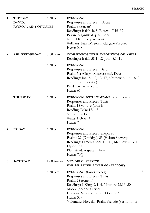| 1 | <b>TUESDAY</b><br>DAVID,<br>PATRON SAINT OF WALES | $6.30$ p.m.  | <b>EVENSONG</b><br>Responses and Preces: Clucas<br>Psalm 8 (Parratt)<br>Readings: Isaiah 46.5–7, Acts 17.16–32<br>Bevan: Magnificat quarti toni<br>Nunc Dimittis quarti toni<br>Williams: Pan fo'r stormydd garwa'n curo<br>Hymn 368                            |   |
|---|---------------------------------------------------|--------------|-----------------------------------------------------------------------------------------------------------------------------------------------------------------------------------------------------------------------------------------------------------------|---|
| 2 | <b>ASH WEDNESDAY</b>                              | 8.00 a.m.    | <b>COMMUNION WITH IMPOSITION OF ASHES</b><br>Readings: Isaiah 58.1–12, John 8.1–11                                                                                                                                                                              |   |
|   |                                                   | $6.30$ p.m.  | <b>EVENSONG</b><br>Responses and Preces: Byrd<br>Psalm 51: Allegri Miserere mei, Deus<br>Readings: Joel 2.1-2, 12-17, Matthew 6.1-6, 16-21<br>Tallis (Short Service)<br>Byrd: Civitas sancti tui<br>Hymn 67                                                     |   |
| 3 | <b>THURSDAY</b>                                   | $6.30$ p.m.  | EVENSONG WITH TIMPANI (lower voices)<br>Responses and Preces: Tallis<br>Psalm $18$ vv. $1-6$ (tone i)<br>Reading: Luke 18.1-8<br>Sumsion in G<br>Watts: Echoes *<br>Hymn 74                                                                                     |   |
| 4 | <b>FRIDAY</b>                                     | $6.30$ p.m.  | <b>EVENSONG</b><br>Responses and Preces: Shephard<br>Psalms 22 (Camidge), 23 (Hylton Stewart)<br>Readings: Lamentations 1.1–12, Matthew 2.13–18<br>Dyson in F<br>Plumstead: A grateful heart<br>Hymn 70(i)                                                      |   |
| 5 | <b>SATURDAY</b>                                   | $12.00$ noon | <b>MEMORIAL SERVICE</b><br>FOR DR PETER LINEHAN (FELLOW)                                                                                                                                                                                                        |   |
|   |                                                   | $6.30$ p.m.  | <b>EVENSONG</b> (lower voices)<br>Responses and Preces: Tallis<br>Psalm 28 (tone iv)<br>Readings: 1 Kings 2.1–4, Matthew 28.16–20<br>Moore (Second Service)<br>Hopkins: Salvator mundi, Domine *<br>Hymn 339<br>Voluntary: Howells Psalm Prelude (Set 1, no. 1) | S |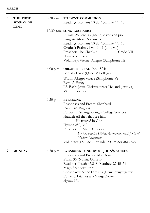| 6 | THE FIRST<br><b>SUNDAY OF</b><br><b>LENT</b> | 8.30 a.m.   | STUDENT COMMUNION<br>Readings: Romans 10.8b–13, Luke 4.1–13                                                                                                                                                                                                                                                                                                   | S |
|---|----------------------------------------------|-------------|---------------------------------------------------------------------------------------------------------------------------------------------------------------------------------------------------------------------------------------------------------------------------------------------------------------------------------------------------------------|---|
|   |                                              |             | $10.30$ a.m. SUNG EUCHARIST<br>Introit: Poulenc Seigneur, je vous en prie<br>Langlais: Messe Solennelle<br>Readings: Romans 10.8b-13, Luke 4.1-13<br>Gradual: Psalm 91 vv. 1-11 (tone viii)<br>Preacher: The Chaplain<br>Credo VII<br>Hymns 305, 377<br>Voluntary: Vierne Allegro (Symphonie II)                                                              |   |
|   |                                              | $6.00$ p.m. | <b>ORGAN RECITAL</b> (no. 1524)<br>Ben Markovic (Queens' College)                                                                                                                                                                                                                                                                                             |   |
|   |                                              |             | Widor: Allegro vivace (Symphonie V)<br>Byrd: A Fancy<br>J.S. Bach: Jesus Christus unser Heiland (BWV 688)<br>Vierne: Toccata                                                                                                                                                                                                                                  |   |
|   |                                              | $6.30$ p.m. | <b>EVENSONG</b><br>Responses and Preces: Shephard<br>Psalm 32 (Rogers)<br>Forbes L'Estrange (King's College Service)<br>Handel: All they that see him<br>He trusted in God<br>Hymns 250, 362<br>Preacher: Dr Marie Chabbert<br>Doctors and the Divine: the human search for $God -$<br>Modern Languages<br>Voluntary: J.S. Bach Prelude in C minor (BWV 546i) |   |
| 7 | <b>MONDAY</b>                                | $6.30$ p.m. | EVENSONG SUNG BY ST JOHN'S VOICES<br>Responses and Preces: MacDonald<br>Psalm 36 (Norris, Garrett)<br>Readings: Isaiah 45.2–8, Matthew 27.45–54<br>Magnificat primi toni<br>Chesnokov: Nunc Dimittis (Ныне отпущаеши)<br>Poulenc: Litanies à la Vierge Noire<br>Hymn 391                                                                                      |   |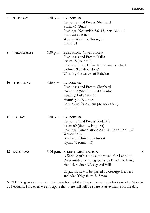| 8  | <b>TUESDAY</b>  | $6.30$ p.m. | <b>EVENSONG</b><br>Responses and Preces: Shephard<br>Psalm 41 (Buck)<br>Readings: Nehemiah 5.6-13, Acts 18.1-11<br>Stanford in B flat<br>Wesley: Wash me throughly<br>Hymn 84                              |   |
|----|-----------------|-------------|------------------------------------------------------------------------------------------------------------------------------------------------------------------------------------------------------------|---|
| 9  | WEDNESDAY       | $6.30$ p.m. | <b>EVENSONG</b> (lower voices)<br>Responses and Preces: Tallis<br>Psalm 48 (tone viii)<br>Readings: Daniel 7.9-14, Colossians 3.1-11<br>Holmes (Fauxbourdons)<br>Wills: By the waters of Babylon           |   |
| 10 | <b>THURSDAY</b> | $6.30$ p.m. | <b>EVENSONG</b><br>Responses and Preces: Shephard<br>Psalms 53 (Stanford), 54 (Barnby)<br>Reading: Luke 18.9-14<br>Humfrey in E minor<br>Lotti: Crucifixus etiam pro nobis (a 8)<br>Hymn 82                |   |
| 11 | <b>FRIDAY</b>   | $6.30$ p.m. | <b>EVENSONG</b><br>Responses and Preces: Radcliffe<br>Psalm 60 (Barnby, Hopkins)<br>Readings: Lamentations 2.13-22, John 19.31-37<br>Watson in E<br>Bruckner: Christus factus est<br>Hymn $76$ (omit v. 3) |   |
| 12 | <b>SATURDAY</b> |             | 6.00 p.m. A LENT MEDITATION<br>A Service of readings and music for Lent and<br>Passiontide, including works by Bruckner, Byrd,<br>Handel, Stainer, Wesley and Wills                                        | S |
|    |                 |             | Organ music will be played by George Herbert<br>and Alex Trigg from 5.15 p.m.                                                                                                                              |   |

NOTE: To guarantee a seat in the main body of the Chapel please apply for tickets by Monday 21 February. However, we anticipate that there will still be spare seats available on the day.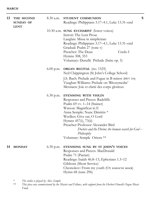| 13 | THE SECOND                      | $8.30$ a.m. | STUDENT COMMUNION                                                  | S |
|----|---------------------------------|-------------|--------------------------------------------------------------------|---|
|    | <b>SUNDAY OF</b><br><b>LENT</b> |             | Readings: Philippians 3.17-4.1, Luke 13.31-end                     |   |
|    |                                 |             | 10.30 a.m. SUNG EUCHARIST (lower voices)                           |   |
|    |                                 |             | Introit: The Lent Prose                                            |   |
|    |                                 |             | Langlais: Missa in simplicitate                                    |   |
|    |                                 |             | Readings: Philippians 3.17-4.1, Luke 13.31-end                     |   |
|    |                                 |             | Gradual: Psalm 27 (tone v)                                         |   |
|    |                                 |             | Preacher: The Dean<br>Credo I                                      |   |
|    |                                 |             | Hymns 308, 353                                                     |   |
|    |                                 |             | Voluntary: Duruflé Prélude (Suite op. 5)                           |   |
|    |                                 |             | $6.00$ p.m. ORGAN RECITAL (no. 1525)                               |   |
|    |                                 |             | Neil Chippington (St John's College School)                        |   |
|    |                                 |             | J.S. Bach: Prelude and Fugue in B minor (BWV 544)                  |   |
|    |                                 |             | Vaughan Williams: Prelude on 'Rhosymedre'                          |   |
|    |                                 |             | Messiaen: Joie et clarté des corps glorieux                        |   |
|    |                                 | $6.30$ p.m. | EVENSONG WITH VIOLIN                                               |   |
|    |                                 |             | Responses and Preces: Radcliffe                                    |   |
|    |                                 |             | Psalm 69 vv. 1-14 (Stainer)                                        |   |
|    |                                 |             | Watson: Magnificat in E                                            |   |
|    |                                 |             | Anna Semple: Nunc Dimittis *                                       |   |
|    |                                 |             | Weelkes: Give ear, O Lord                                          |   |
|    |                                 |             | Hymns 457(i), 73(ii)                                               |   |
|    |                                 |             | Preacher: Professor Alexander Bird                                 |   |
|    |                                 |             | Doctors and the Divine: the human search for $God -$<br>Philosophy |   |
|    |                                 |             | Voluntary: Semple Oriens **                                        |   |
| 14 | <b>MONDAY</b>                   | $6.30$ p.m. | EVENSONG SUNG BY ST JOHN'S VOICES                                  |   |
|    |                                 |             | Responses and Preces: MacDonald                                    |   |
|    |                                 |             | Psalm 71 (Parratt)                                                 |   |
|    |                                 |             | Readings: Isaiah 46.8–13, Ephesians 1.3–12                         |   |
|    |                                 |             | Gibbons (Short Service)                                            |   |

\* *The violin is played by Alex Semple.*

\*\* *This piece was commissioned by the Master and Fellows, with support from the Herbert Howells Organ Music Fund.*

Hymn 68 (tune 296)

Chesnokov: From my youth (От юности моея)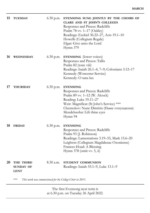| 15                                                               | <b>TUESDAY</b>                               | $6.30$ p.m. | EVENSONG SUNG JOINTLY BY THE CHOIRS OF<br>CLARE AND ST JOHN'S COLLEGES<br>Responses and Preces: Radcliffe<br>Psalm 78 vv. 1-17 (Oakley)<br>Readings: Ezekiel 36.22-27, Acts 19.1-10<br>Howells (Collegium Regale)<br>Elgar: Give unto the Lord<br>Hymn 379 |
|------------------------------------------------------------------|----------------------------------------------|-------------|------------------------------------------------------------------------------------------------------------------------------------------------------------------------------------------------------------------------------------------------------------|
| 16                                                               | <b>WEDNESDAY</b>                             | $6.30$ p.m. | <b>EVENSONG</b> (lower voices)<br>Responses and Preces: Tallis<br>Psalm 82 (tone viii)<br>Readings: Isaiah 26.1–4, 7–9; Colossians 3.12–17<br>Kennedy (Worcester Service)<br>Kennedy: O nata lux                                                           |
| 17                                                               | <b>THURSDAY</b>                              | $6.30$ p.m. | <b>EVENSONG</b><br>Responses and Preces: Radcliffe<br>Psalm 89 vv. 1–12 (W. Alcock)<br>Reading: Luke 19.11-27<br>Weir: Magnificat (St John's Service) ***<br>Chesnokov: Nunc Dimittis (Ныне отпущаеши)<br>Mendelssohn: Lift thine eyes<br>Hymn 94          |
| 18                                                               | <b>FRIDAY</b>                                | $6.30$ p.m. | <b>EVENSONG</b><br>Responses and Preces: Radcliffe<br>Psalm 93 (J. Robinson)<br>Readings: Lamentations 3.19–33, Mark 15.6–20<br>Leighton (Collegium Magdalenae Oxoniense)<br>Frances-Hoad: A Blessing<br>Hymn 378 (omit vv. 5, 6)                          |
| 20                                                               | THE THIRD<br><b>SUNDAY OF</b><br><b>LENT</b> | 8.30 a.m.   | STUDENT COMMUNION<br>Readings: Isaiah 55.1–9, Luke 13.1–9                                                                                                                                                                                                  |
| ***<br>This work was commissioned for the College Choir in 2011. |                                              |             |                                                                                                                                                                                                                                                            |

The first Evensong next term is at 6.30 p.m. on Tuesday 26 April 2022.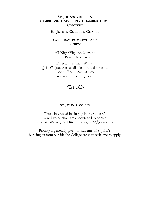#### **ST JOHN'S VOICES & CAMBRIDGE UNIVERSITY CHAMBER CHOIR CONCERT**

#### **ST JOHN'S COLLEGE CHAPEL**

#### **SATURDAY 19 MARCH 2022 7.30PM**

All-Night Vigil no. 2, op. 44 by Pavel Chesnokov

Director: Graham Walker  $\angle$  15,  $\angle$  5 (students, available on the door only) Box Office 01223 300085 **www.adcticketing.com**



#### **ST JOHN'S VOICES**

Those interested in singing in the College's mixed-voice choir are encouraged to contact Graham Walker, the Director, on ghw22@cam.ac.uk

Priority is generally given to students of St John's, but singers from outside the College are very welcome to apply.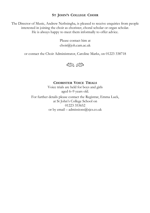#### **ST JOHN'S COLLEGE CHOIR**

The Director of Music, Andrew Nethsingha, is pleased to receive enquiries from people interested in joining the choir as chorister, choral scholar or organ scholar. He is always happy to meet them informally to offer advice.

> Please contact him at choir@joh.cam.ac.uk

or contact the Choir Administrator, Caroline Marks, on 01223 338718



**CHORISTER VOICE TRIALS** Voice trials are held for boys and girls aged 6–9 years old. For further details please contact the Registrar, Emma Luck, at St John's College School on 01223 353652 or by email – admissions@sjcs.co.uk